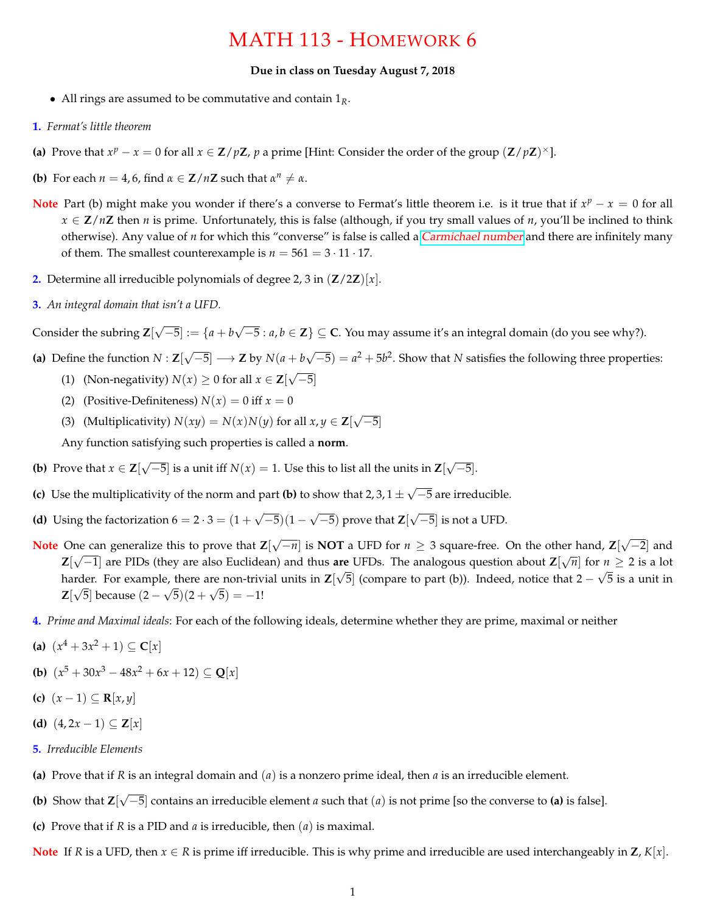## MATH 113 - HOMEWORK 6

## **Due in class on Tuesday August 7, 2018**

- All rings are assumed to be commutative and contain 1*R*.
- **1.** *Fermat's little theorem*
- **(a)** Prove that  $x^p x = 0$  for all  $x \in \mathbb{Z}/p\mathbb{Z}$ ,  $p$  a prime [Hint: Consider the order of the group  $(\mathbb{Z}/p\mathbb{Z})^{\times}$ ].
- **(b)** For each  $n = 4, 6$ , find  $\alpha \in \mathbb{Z}/n\mathbb{Z}$  such that  $\alpha^n \neq \alpha$ .
- **Note** Part (b) might make you wonder if there's a converse to Fermat's little theorem i.e. is it true that if  $x^p x = 0$  for all  $x \in \mathbb{Z}/n\mathbb{Z}$  then *n* is prime. Unfortunately, this is false (although, if you try small values of *n*, you'll be inclined to think otherwise). Any value of *n* for which this "converse" is false is called a [Carmichael number](https://en.wikipedia.org/wiki/Carmichael_number) and there are infinitely many of them. The smallest counterexample is  $n = 561 = 3 \cdot 11 \cdot 17$ .
- **2.** Determine all irreducible polynomials of degree 2, 3 in (**Z**/2**Z**)[*x*].
- **3.** *An integral domain that isn't a UFD.*

Consider the subring **Z**[ √  $[-5] := \{a + b\}$ √ −5 : *a*, *b* ∈ **Z**} ⊆ **C**. You may assume it's an integral domain (do you see why?).

- **(a)** Define the function *N* : **Z**[ √  $\overline{-5}$ ]  $\longrightarrow$  **Z** by  $N(a+b)$ √  $\overline{-5}$ ) =  $a^2 + 5b^2$ . Show that *N* satisfies the following three properties: √
	- (1) (Non-negativity)  $N(x) \ge 0$  for all  $x \in \mathbb{Z}$ [  $-5]$
	- (2) (Positive-Definiteness)  $N(x) = 0$  iff  $x = 0$
	- (3) (Multiplicativity)  $N(xy) = N(x)N(y)$  for all  $x, y \in \mathbb{Z}$ [ √ −5]

Any function satisfying such properties is called a **norm**.

- **(b)** Prove that  $x \in \mathbb{Z}$ [ √  $\overline{-5}$ ] is a unit iff *N*(*x*) = 1. Use this to list all the units in **Z**[ √ −5].
- **(c)** Use the multiplicativity of the norm and part **(b)** to show that  $2, 3, 1 \pm 1$ √ −5 are irreducible.
- **(d)** Using the factorization  $6 = 2 \cdot 3 = (1 +$ √  $\overline{-5}(1 -$ √ −5) prove that **Z**[ √  $\overline{-5}$ ] is not a UFD.
- **Note** One can generalize this to prove that **Z**[ √ −*n*] is **NOT** a UFD for *n* ≥ 3 square-free. On the other hand, **Z**[ √ ne can generalize this to prove that  $\mathbb{Z}[\sqrt{-n}]$  is **NOT** a UFD for  $n \geq 3$  square-free. On the other hand,  $\mathbb{Z}[\sqrt{-2}]$  and **Z**[ $\sqrt{-1}$ ] are PIDs (they are also Euclidean) and thus **are** UFDs. The analogous question about **Z**[ $\sqrt{n}$ ] for  $n \ge 2$  is a lot harder. For example, there are non-trivial units in  $\mathbb{Z}[\sqrt{5}]$  (compare to part (b)). Indeed, notice that  $2 - \sqrt{5}$  is a unit in **Z**[√5] because  $(2 - √5)(2 + √5) = -1!$
- **4.** *Prime and Maximal ideals*: For each of the following ideals, determine whether they are prime, maximal or neither
- **(a)**  $(x^4 + 3x^2 + 1) \subseteq C[x]$
- **(b)**  $(x^5 + 30x^3 48x^2 + 6x + 12) \subseteq \mathbb{Q}[x]$
- **(c)**  $(x-1) \subseteq \mathbb{R}[x,y]$
- **(d)**  $(4, 2x − 1) ⊆ \mathbf{Z}[x]$
- **5.** *Irreducible Elements*
- **(a)** Prove that if *R* is an integral domain and (*a*) is a nonzero prime ideal, then *a* is an irreducible element.
- **(b)** Show that **Z**[ √ −5] contains an irreducible element *a* such that (*a*) is not prime [so the converse to **(a)** is false].
- **(c)** Prove that if *R* is a PID and *a* is irreducible, then (*a*) is maximal.

**Note** If *R* is a UFD, then  $x \in R$  is prime iff irreducible. This is why prime and irreducible are used interchangeably in **Z**,  $K[x]$ .